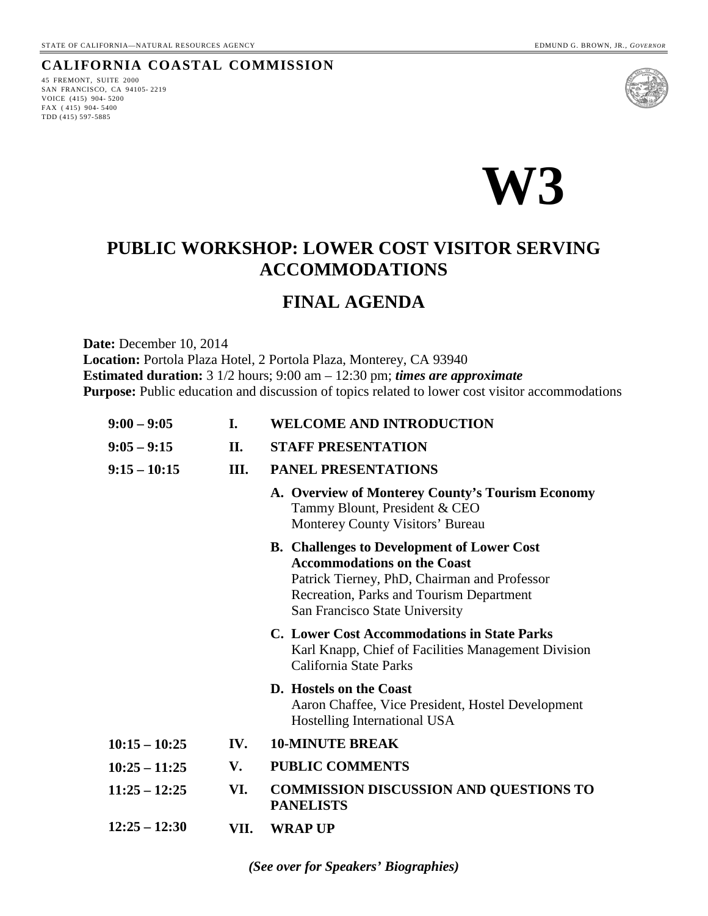#### **CALIFORNIA COASTAL COMMISSION**

45 FREMONT, SUITE 2000 SAN FRANCISCO, CA 94105- 2219 VOICE (415) 904- 5200 FAX ( 415) 904- 5400 TDD (415) 597-5885





# **PUBLIC WORKSHOP: LOWER COST VISITOR SERVING ACCOMMODATIONS**

# **FINAL AGENDA**

**Date:** December 10, 2014 **Location:** Portola Plaza Hotel, 2 Portola Plaza, Monterey, CA 93940 **Estimated duration:** 3 1/2 hours; 9:00 am – 12:30 pm; *times are approximate*  **Purpose:** Public education and discussion of topics related to lower cost visitor accommodations

| $9:00 - 9:05$   | L.   | <b>WELCOME AND INTRODUCTION</b>                                                                                                                                                                                       |
|-----------------|------|-----------------------------------------------------------------------------------------------------------------------------------------------------------------------------------------------------------------------|
| $9:05 - 9:15$   | II.  | <b>STAFF PRESENTATION</b>                                                                                                                                                                                             |
| $9:15 - 10:15$  | III. | <b>PANEL PRESENTATIONS</b>                                                                                                                                                                                            |
|                 |      | A. Overview of Monterey County's Tourism Economy<br>Tammy Blount, President & CEO<br>Monterey County Visitors' Bureau                                                                                                 |
|                 |      | <b>B.</b> Challenges to Development of Lower Cost<br><b>Accommodations on the Coast</b><br>Patrick Tierney, PhD, Chairman and Professor<br>Recreation, Parks and Tourism Department<br>San Francisco State University |
|                 |      | <b>C. Lower Cost Accommodations in State Parks</b><br>Karl Knapp, Chief of Facilities Management Division<br>California State Parks                                                                                   |
|                 |      | D. Hostels on the Coast<br>Aaron Chaffee, Vice President, Hostel Development<br>Hostelling International USA                                                                                                          |
| $10:15 - 10:25$ | IV.  | <b>10-MINUTE BREAK</b>                                                                                                                                                                                                |
| $10:25 - 11:25$ | V.   | <b>PUBLIC COMMENTS</b>                                                                                                                                                                                                |
| $11:25 - 12:25$ | VI.  | <b>COMMISSION DISCUSSION AND QUESTIONS TO</b><br><b>PANELISTS</b>                                                                                                                                                     |
| $12:25 - 12:30$ | VII. | <b>WRAP UP</b>                                                                                                                                                                                                        |